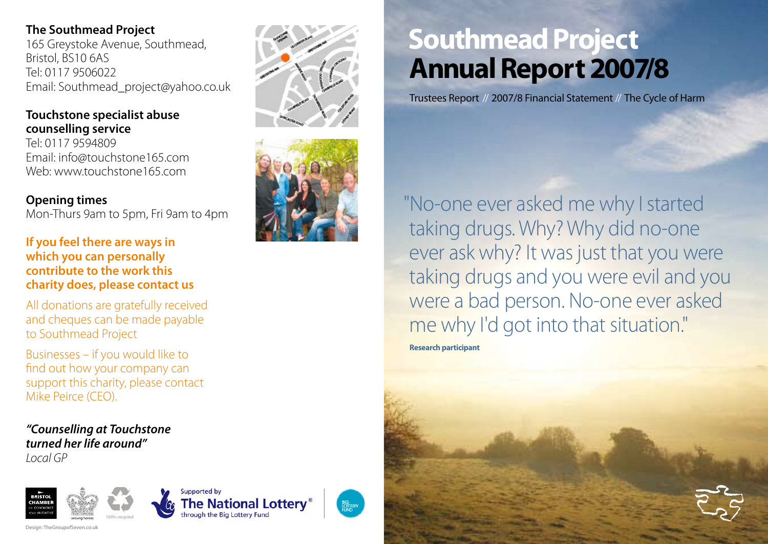### **The Southmead Project**

165 Greystoke Avenue, Southmead, Bristol, BS10 6AS Tel: 0117 9506022 Email: Southmead\_project@yahoo.co.uk

### **Touchstone specialist abuse counselling service**

Tel: 0117 9594809 Email: info@touchstone165.com Web: www.touchstone165.com

### **Opening times**

Mon-Thurs 9am to 5pm, Fri 9am to 4pm

### **If you feel there are ways in which you can personally contribute to the work this charity does, please contact us**

All donations are gratefully received and cheques can be made payable to Southmead Project

Businesses – if you would like to find out how your company can support this charity, please contact Mike Peirce (CEO).

**Supported by** 

**The National Lottery** 

hrough the Big Lottery Fund

**BIG**<br>LOTTERY

*"Counselling at Touchstone turned her life around" Local GP*



Design: TheGroupofSeven.co.uk





# **Southmead Project Annual Report 2007/8**

Trustees Report // 2007/8 Financial Statement // The Cycle of Harm

 "No-one ever asked me why I started taking drugs. Why? Why did no-one ever ask why? It was just that you were taking drugs and you were evil and you were a bad person. No-one ever asked me why I'd got into that situation."

**Research participant**

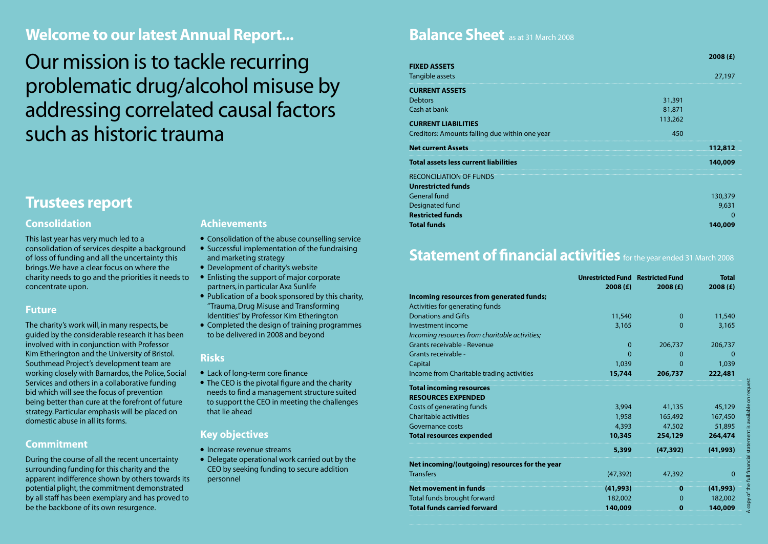### **Welcome to our latest Annual Report...**

Our mission is to tackle recurring problematic drug/alcohol misuse by addressing correlated causal factors such as historic trauma

### **Trustees report**

#### **Consolidation**

This last year has very much led to a consolidation of services despite a background of loss of funding and all the uncertainty this brings. We have a clear focus on where the charity needs to go and the priorities it needs to concentrate upon.

#### **Future**

The charity's work will, in many respects, be guided by the considerable research it has been involved with in conjunction with Professor Kim Etherington and the University of Bristol. Southmead Project's development team are working closely with Barnardos, the Police, Social Services and others in a collaborative funding bid which will see the focus of prevention being better than cure at the forefront of future strategy. Particular emphasis will be placed on domestic abuse in all its forms.

#### **Commitment**

During the course of all the recent uncertainty surrounding funding for this charity and the apparent indifference shown by others towards its potential plight, the commitment demonstrated by all staff has been exemplary and has proved to be the backbone of its own resurgence.

#### **Achievements**

- Consolidation of the abuse counselling service
- Successful implementation of the fundraising and marketing strategy
- Development of charity's website
- Enlisting the support of major corporate partners, in particular Axa Sunlife
- Publication of a book sponsored by this charity, "Trauma, Drug Misuse and Transforming Identities" by Professor Kim Etherington
- Completed the design of training programmes to be delivered in 2008 and beyond

#### **Risks**

- Lack of long-term core finance
- The CEO is the pivotal figure and the charity needs to find a management structure suited to support the CEO in meeting the challenges that lie ahead

#### **Key objectives**

- Increase revenue streams
- Delegate operational work carried out by the CEO by seeking funding to secure addition personnel

### **Balance Sheet** as at 31 March 2008

|                                                |         | 2008(f) |
|------------------------------------------------|---------|---------|
| <b>FIXED ASSETS</b>                            |         |         |
| Tangible assets                                |         | 27,197  |
| <b>CURRENT ASSETS</b>                          |         |         |
| <b>Debtors</b>                                 | 31,391  |         |
| Cash at bank                                   | 81,871  |         |
| <b>CURRENT LIABILITIES</b>                     | 113,262 |         |
| Creditors: Amounts falling due within one year | 450     |         |
| <b>Net current Assets</b>                      |         | 112,812 |
| <b>Total assets less current liabilities</b>   |         | 140,009 |
| <b>RECONCILIATION OF FUNDS</b>                 |         |         |
| <b>Unrestricted funds</b>                      |         |         |
| General fund                                   |         | 130,379 |
| Designated fund                                |         | 9,631   |
| <b>Restricted funds</b>                        |         |         |
| <b>Total funds</b>                             |         | 140,009 |

### **Statement of financial activities** for the year ended 31 March 2008

|                                                | <b>Unrestricted Fund Restricted Fund</b><br>2008(f) | 2008(f)   | <b>Total</b><br>2008(f)             |
|------------------------------------------------|-----------------------------------------------------|-----------|-------------------------------------|
| Incoming resources from generated funds;       |                                                     |           |                                     |
| Activities for generating funds                |                                                     |           |                                     |
| <b>Donations and Gifts</b>                     | 11,540                                              | $\Omega$  | 11,540                              |
| Investment income                              | 3,165                                               | $\Omega$  | 3,165                               |
| Incoming resources from charitable activities; |                                                     |           |                                     |
| Grants receivable - Revenue                    | 0                                                   | 206,737   | 206,737                             |
| Grants receivable -                            | $\mathbf{0}$                                        | 0         |                                     |
| Capital                                        | 1,039                                               | $\Omega$  | 1,039                               |
| Income from Charitable trading activities      | 15,744                                              | 206,737   | 222,481                             |
| <b>Total incoming resources</b>                |                                                     |           |                                     |
| <b>RESOURCES EXPENDED</b>                      |                                                     |           |                                     |
| Costs of generating funds                      | 3,994                                               | 41,135    | 45,129                              |
| <b>Charitable activities</b>                   | 1,958                                               | 165,492   | 167,450                             |
| Governance costs                               | 4,393                                               | 47,502    | 51,895                              |
| <b>Total resources expended</b>                | 10,345                                              | 254,129   | statement is available o<br>264,474 |
|                                                | 5,399                                               | (47, 392) | (41,993)                            |
| Net incoming/(outgoing) resources for the year |                                                     |           |                                     |
| <b>Transfers</b>                               | (47, 392)                                           | 47,392    | $\Omega$                            |
| <b>Net movement in funds</b>                   | (41, 993)                                           | o         | (41, 993)                           |
| Total funds brought forward                    | 182,002                                             | O         | 182,002                             |
| <b>Total funds carried forward</b>             | 140,009                                             |           | 140,009                             |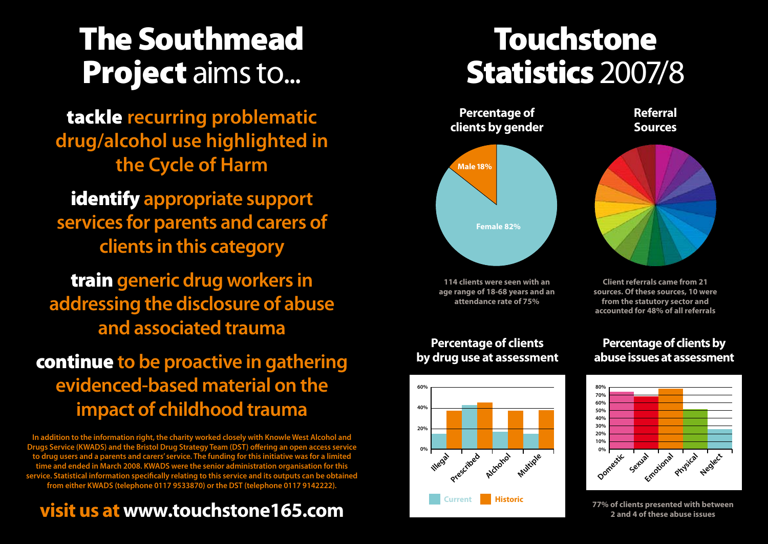# The Southmead Project aims to...

tackle **recurring problematic drug/alcohol use highlighted in the Cycle of Harm**

identify **appropriate support services for parents and carers of clients in this category**

train **generic drug workers in addressing the disclosure of abuse and associated trauma**

## continue **to be proactive in gathering evidenced-based material on the impact of childhood trauma**

**In addition to the information right, the charity worked closely with Knowle West Alcohol and Drugs Service (KWADS) and the Bristol Drug Strategy Team (DST) offering an open access service to drug users and a parents and carers' service. The funding for this initiative was for a limited time and ended in March 2008. KWADS were the senior administration organisation for this service. Statistical information specifically relating to this service and its outputs can be obtained from either KWADS (telephone 0117 9533870) or the DST (telephone 0117 9142222).**

## **visit us at www.touchstone165.com**

# Touchstone Statistics 2007/8



**114 clients were seen with an age range of 18-68 years and an attendance rate of 75%**

**Referral Sources**



**Client referrals came from 21 sources. Of these sources, 10 were from the statutory sector and accounted for 48% of all referrals**

#### **Percentage of clients by drug use at assessment**



### **Percentage of clients by abuse issues at assessment**



**77% of clients presented with between 2 and 4 of these abuse issues**